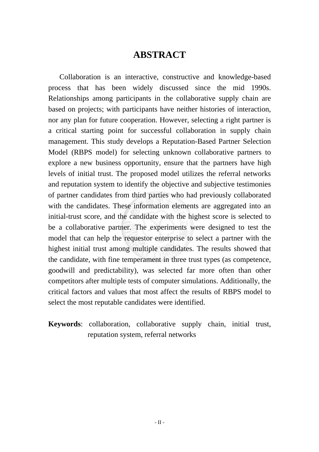## **ABSTRACT**

Collaboration is an interactive, constructive and knowledge-based process that has been widely discussed since the mid 1990s. Relationships among participants in the collaborative supply chain are based on projects; with participants have neither histories of interaction, nor any plan for future cooperation. However, selecting a right partner is a critical starting point for successful collaboration in supply chain management. This study develops a Reputation-Based Partner Selection Model (RBPS model) for selecting unknown collaborative partners to explore a new business opportunity, ensure that the partners have high levels of initial trust. The proposed model utilizes the referral networks and reputation system to identify the objective and subjective testimonies of partner candidates from third parties who had previously collaborated with the candidates. These information elements are aggregated into an initial-trust score, and the candidate with the highest score is selected to be a collaborative partner. The experiments were designed to test the model that can help the requestor enterprise to select a partner with the highest initial trust among multiple candidates. The results showed that the candidate, with fine temperament in three trust types (as competence, goodwill and predictability), was selected far more often than other competitors after multiple tests of computer simulations. Additionally, the critical factors and values that most affect the results of RBPS model to select the most reputable candidates were identified.

**Keywords**: collaboration, collaborative supply chain, initial trust, reputation system, referral networks